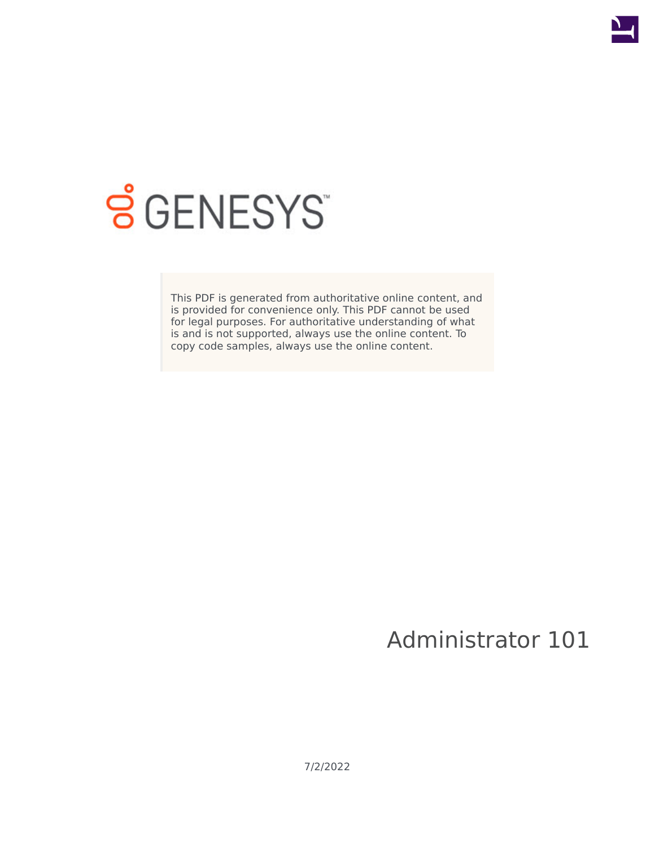

# **SGENESYS**

This PDF is generated from authoritative online content, and is provided for convenience only. This PDF cannot be used for legal purposes. For authoritative understanding of what is and is not supported, always use the online content. To copy code samples, always use the online content.

Administrator 101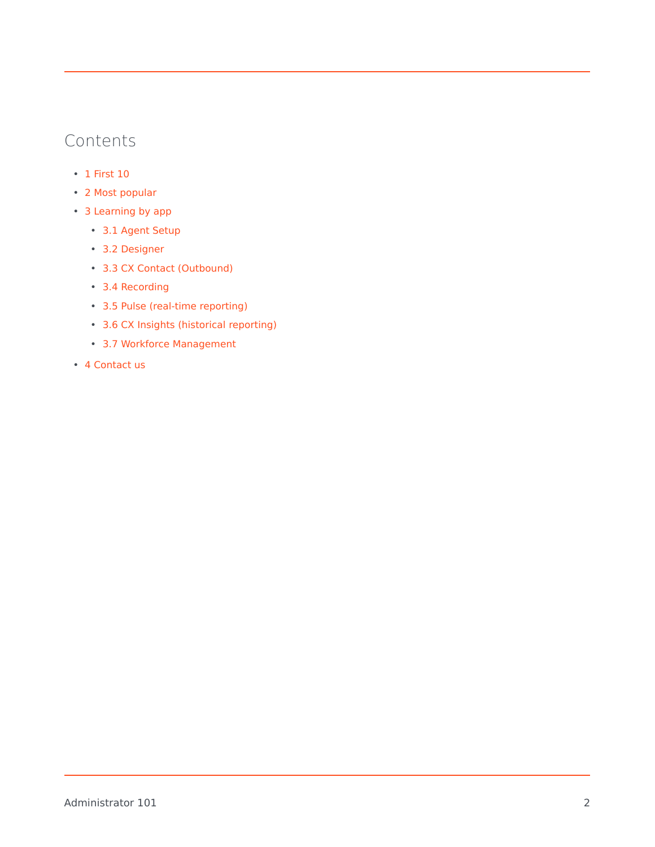# Contents

- 1 [First 10](#page-2-0)
- 2 [Most popular](#page-2-1)
- 3 [Learning by app](#page-3-0)
	- 3.1 [Agent Setup](#page-3-1)
	- 3.2 [Designer](#page-3-2)
	- 3.3 [CX Contact \(Outbound\)](#page-4-0)
	- 3.4 [Recording](#page-4-1)
	- 3.5 [Pulse \(real-time reporting\)](#page-4-2)
	- 3.6 [CX Insights \(historical reporting\)](#page-4-3)
	- 3.7 [Workforce Management](#page-5-0)
- 4 [Contact us](#page-5-1)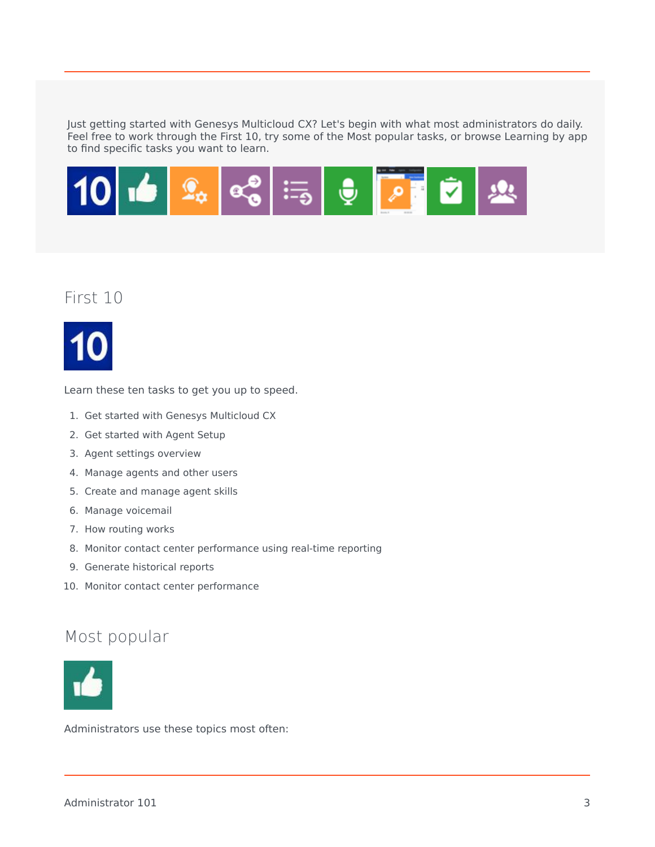Just getting started with Genesys Multicloud CX? Let's begin with what most administrators do daily. Feel free to work through the First 10, try some of the Most popular tasks, or browse Learning by app to find specific tasks you want to learn.



## <span id="page-2-0"></span>First 10



Learn these ten tasks to get you up to speed.

- 1. Get started with Genesys Multicloud CX
- 2. Get started with Agent Setup
- 3. Agent settings overview
- 4. Manage agents and other users
- 5. Create and manage agent skills
- 6. Manage voicemail
- 7. How routing works
- 8. Monitor contact center performance using real-time reporting
- 9. Generate historical reports
- 10. Monitor contact center performance

## <span id="page-2-1"></span>Most popular



Administrators use these topics most often: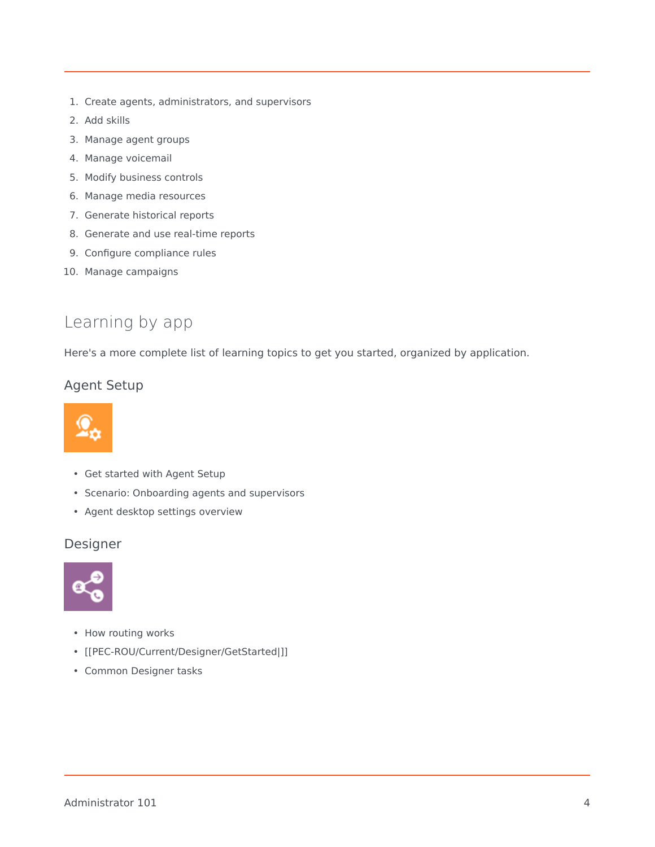- 1. Create agents, administrators, and supervisors
- 2. Add skills
- 3. Manage agent groups
- 4. Manage voicemail
- 5. Modify business controls
- 6. Manage media resources
- 7. Generate historical reports
- 8. Generate and use real-time reports
- 9. Configure compliance rules
- 10. Manage campaigns

# <span id="page-3-0"></span>Learning by app

Here's a more complete list of learning topics to get you started, organized by application.

#### <span id="page-3-1"></span>Agent Setup



- Get started with Agent Setup
- Scenario: Onboarding agents and supervisors
- Agent desktop settings overview

#### <span id="page-3-2"></span>Designer



- How routing works
- [[PEC-ROU/Current/Designer/GetStarted|]]
- Common Designer tasks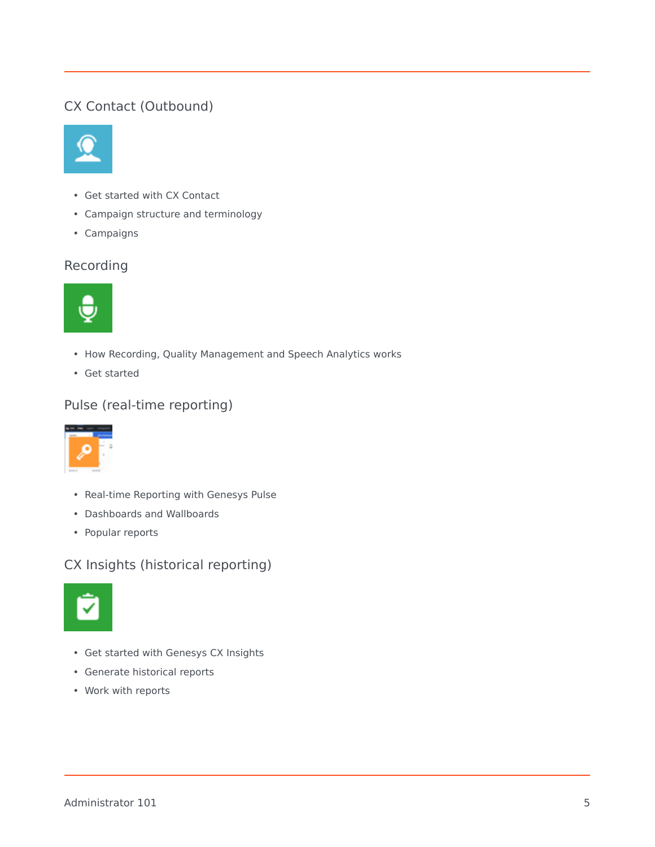## <span id="page-4-0"></span>CX Contact (Outbound)



- Get started with CX Contact
- Campaign structure and terminology
- Campaigns

## <span id="page-4-1"></span>Recording



- How Recording, Quality Management and Speech Analytics works
- Get started

## <span id="page-4-2"></span>Pulse (real-time reporting)



- Real-time Reporting with Genesys Pulse
- Dashboards and Wallboards
- Popular reports

#### <span id="page-4-3"></span>CX Insights (historical reporting)



- Get started with Genesys CX Insights
- Generate historical reports
- Work with reports